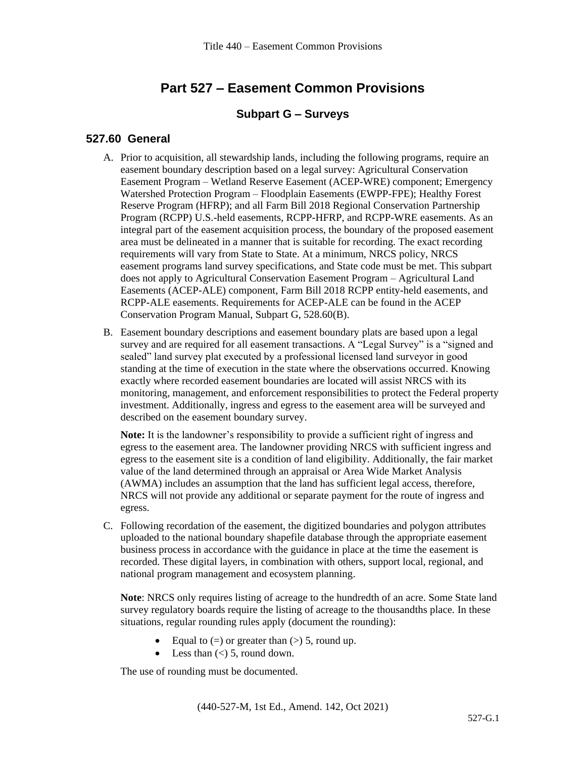# **Part 527 – Easement Common Provisions**

#### **Subpart G – Surveys**

#### **527.60 General**

- A. Prior to acquisition, all stewardship lands, including the following programs, require an easement boundary description based on a legal survey: Agricultural Conservation Easement Program – Wetland Reserve Easement (ACEP-WRE) component; Emergency Watershed Protection Program – Floodplain Easements (EWPP-FPE); Healthy Forest Reserve Program (HFRP); and all Farm Bill 2018 Regional Conservation Partnership Program (RCPP) U.S.-held easements, RCPP-HFRP, and RCPP-WRE easements. As an integral part of the easement acquisition process, the boundary of the proposed easement area must be delineated in a manner that is suitable for recording. The exact recording requirements will vary from State to State. At a minimum, NRCS policy, NRCS easement programs land survey specifications, and State code must be met. This subpart does not apply to Agricultural Conservation Easement Program – Agricultural Land Easements (ACEP-ALE) component, Farm Bill 2018 RCPP entity-held easements, and RCPP-ALE easements. Requirements for ACEP-ALE can be found in the ACEP Conservation Program Manual, Subpart G, 528.60(B).
- B. Easement boundary descriptions and easement boundary plats are based upon a legal survey and are required for all easement transactions. A "Legal Survey" is a "signed and sealed" land survey plat executed by a professional licensed land surveyor in good standing at the time of execution in the state where the observations occurred. Knowing exactly where recorded easement boundaries are located will assist NRCS with its monitoring, management, and enforcement responsibilities to protect the Federal property investment. Additionally, ingress and egress to the easement area will be surveyed and described on the easement boundary survey.

**Note:** It is the landowner's responsibility to provide a sufficient right of ingress and egress to the easement area. The landowner providing NRCS with sufficient ingress and egress to the easement site is a condition of land eligibility. Additionally, the fair market value of the land determined through an appraisal or Area Wide Market Analysis (AWMA) includes an assumption that the land has sufficient legal access, therefore, NRCS will not provide any additional or separate payment for the route of ingress and egress.

C. Following recordation of the easement, the digitized boundaries and polygon attributes uploaded to the national boundary shapefile database through the appropriate easement business process in accordance with the guidance in place at the time the easement is recorded. These digital layers, in combination with others, support local, regional, and national program management and ecosystem planning.

**Note**: NRCS only requires listing of acreage to the hundredth of an acre. Some State land survey regulatory boards require the listing of acreage to the thousandths place. In these situations, regular rounding rules apply (document the rounding):

- Equal to  $(=)$  or greater than  $(>)$  5, round up.
- Less than  $(<)$  5, round down.

The use of rounding must be documented.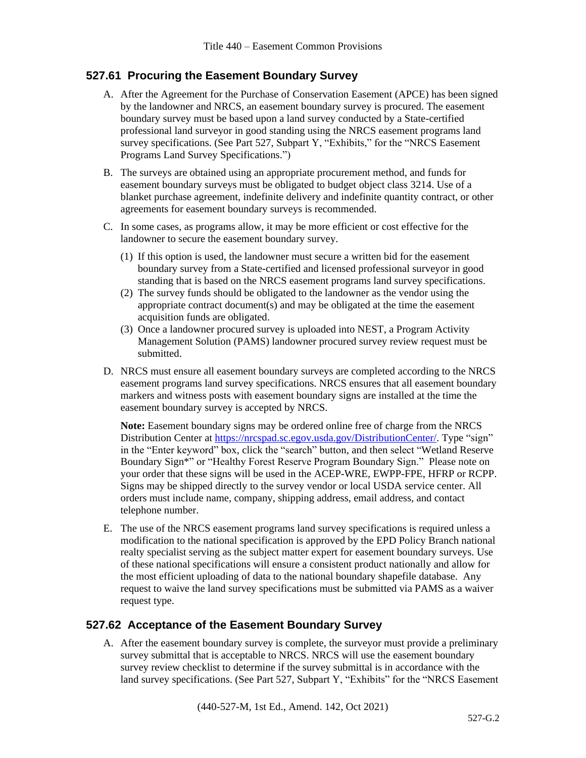## **527.61 Procuring the Easement Boundary Survey**

- A. After the Agreement for the Purchase of Conservation Easement (APCE) has been signed by the landowner and NRCS, an easement boundary survey is procured. The easement boundary survey must be based upon a land survey conducted by a State-certified professional land surveyor in good standing using the NRCS easement programs land survey specifications. (See Part 527, Subpart Y, "Exhibits," for the "NRCS Easement Programs Land Survey Specifications.")
- B. The surveys are obtained using an appropriate procurement method, and funds for easement boundary surveys must be obligated to budget object class 3214. Use of a blanket purchase agreement, indefinite delivery and indefinite quantity contract, or other agreements for easement boundary surveys is recommended.
- C. In some cases, as programs allow, it may be more efficient or cost effective for the landowner to secure the easement boundary survey.
	- (1) If this option is used, the landowner must secure a written bid for the easement boundary survey from a State-certified and licensed professional surveyor in good standing that is based on the NRCS easement programs land survey specifications.
	- (2) The survey funds should be obligated to the landowner as the vendor using the appropriate contract document(s) and may be obligated at the time the easement acquisition funds are obligated.
	- (3) Once a landowner procured survey is uploaded into NEST, a Program Activity Management Solution (PAMS) landowner procured survey review request must be submitted.
- D. NRCS must ensure all easement boundary surveys are completed according to the NRCS easement programs land survey specifications. NRCS ensures that all easement boundary markers and witness posts with easement boundary signs are installed at the time the easement boundary survey is accepted by NRCS.

**Note:** Easement boundary signs may be ordered online free of charge from the NRCS Distribution Center at [https://nrcspad.sc.egov.usda.gov/DistributionCenter/.](https://nrcspad.sc.egov.usda.gov/DistributionCenter/) Type "sign" in the "Enter keyword" box, click the "search" button, and then select ["Wetland Reserve](http://landcare.nrcs.usda.gov/product.aspx?id=804) [Boundary Sign\\*"](http://landcare.nrcs.usda.gov/product.aspx?id=804) or "Healthy Forest Reserve Program Boundary Sign." Please note on your order that these signs will be used in the ACEP-WRE, EWPP-FPE, HFRP or RCPP. Signs may be shipped directly to the survey vendor or local USDA service center. All orders must include name, company, shipping address, email address, and contact telephone number.

E. The use of the NRCS easement programs land survey specifications is required unless a modification to the national specification is approved by the EPD Policy Branch national realty specialist serving as the subject matter expert for easement boundary surveys. Use of these national specifications will ensure a consistent product nationally and allow for the most efficient uploading of data to the national boundary shapefile database. Any request to waive the land survey specifications must be submitted via PAMS as a waiver request type.

### **527.62 Acceptance of the Easement Boundary Survey**

A. After the easement boundary survey is complete, the surveyor must provide a preliminary survey submittal that is acceptable to NRCS. NRCS will use the easement boundary survey review checklist to determine if the survey submittal is in accordance with the land survey specifications. (See Part 527, Subpart Y, "Exhibits" for the "NRCS Easement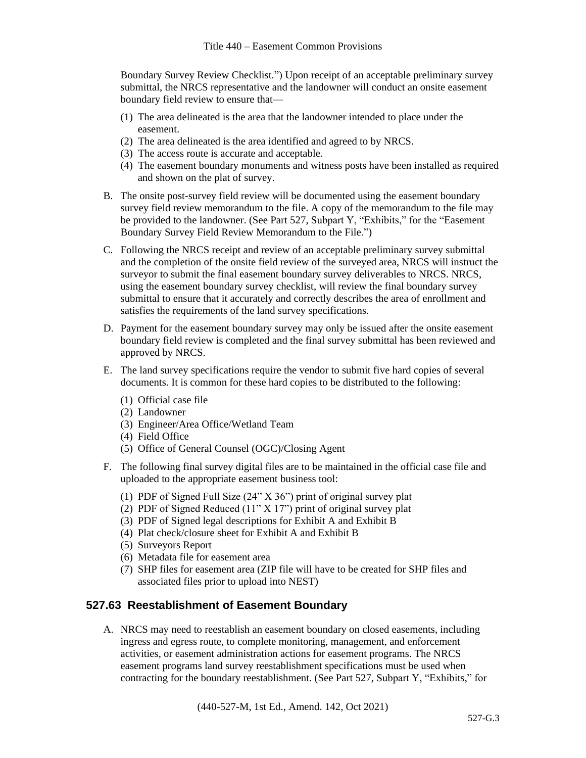Boundary Survey Review Checklist.") Upon receipt of an acceptable preliminary survey submittal, the NRCS representative and the landowner will conduct an onsite easement boundary field review to ensure that—

- (1) The area delineated is the area that the landowner intended to place under the easement.
- (2) The area delineated is the area identified and agreed to by NRCS.
- (3) The access route is accurate and acceptable.
- (4) The easement boundary monuments and witness posts have been installed as required and shown on the plat of survey.
- B. The onsite post-survey field review will be documented using the easement boundary survey field review memorandum to the file. A copy of the memorandum to the file may be provided to the landowner. (See Part 527, Subpart Y, "Exhibits," for the "Easement Boundary Survey Field Review Memorandum to the File.")
- C. Following the NRCS receipt and review of an acceptable preliminary survey submittal and the completion of the onsite field review of the surveyed area, NRCS will instruct the surveyor to submit the final easement boundary survey deliverables to NRCS. NRCS, using the easement boundary survey checklist, will review the final boundary survey submittal to ensure that it accurately and correctly describes the area of enrollment and satisfies the requirements of the land survey specifications.
- D. Payment for the easement boundary survey may only be issued after the onsite easement boundary field review is completed and the final survey submittal has been reviewed and approved by NRCS.
- E. The land survey specifications require the vendor to submit five hard copies of several documents. It is common for these hard copies to be distributed to the following:
	- (1) Official case file
	- (2) Landowner
	- (3) Engineer/Area Office/Wetland Team
	- (4) Field Office
	- (5) Office of General Counsel (OGC)/Closing Agent
- F. The following final survey digital files are to be maintained in the official case file and uploaded to the appropriate easement business tool:
	- (1) PDF of Signed Full Size (24" X 36") print of original survey plat
	- (2) PDF of Signed Reduced (11" X 17") print of original survey plat
	- (3) PDF of Signed legal descriptions for Exhibit A and Exhibit B
	- (4) Plat check/closure sheet for Exhibit A and Exhibit B
	- (5) Surveyors Report
	- (6) Metadata file for easement area
	- (7) SHP files for easement area (ZIP file will have to be created for SHP files and associated files prior to upload into NEST)

## **527.63 Reestablishment of Easement Boundary**

A. NRCS may need to reestablish an easement boundary on closed easements, including ingress and egress route, to complete monitoring, management, and enforcement activities, or easement administration actions for easement programs. The NRCS easement programs land survey reestablishment specifications must be used when contracting for the boundary reestablishment. (See Part 527, Subpart Y, "Exhibits," for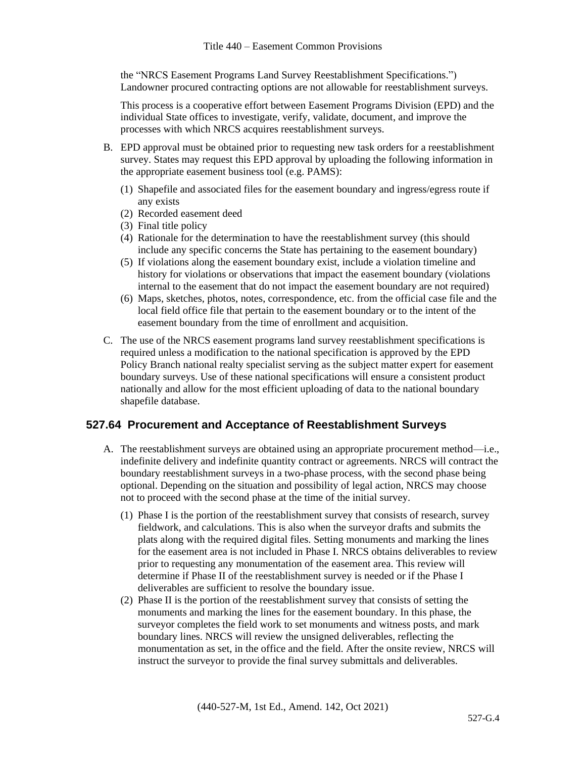the "NRCS Easement Programs Land Survey Reestablishment Specifications.") Landowner procured contracting options are not allowable for reestablishment surveys.

This process is a cooperative effort between Easement Programs Division (EPD) and the individual State offices to investigate, verify, validate, document, and improve the processes with which NRCS acquires reestablishment surveys.

- B. EPD approval must be obtained prior to requesting new task orders for a reestablishment survey. States may request this EPD approval by uploading the following information in the appropriate easement business tool (e.g. PAMS):
	- (1) Shapefile and associated files for the easement boundary and ingress/egress route if any exists
	- (2) Recorded easement deed
	- (3) Final title policy
	- (4) Rationale for the determination to have the reestablishment survey (this should include any specific concerns the State has pertaining to the easement boundary)
	- (5) If violations along the easement boundary exist, include a violation timeline and history for violations or observations that impact the easement boundary (violations internal to the easement that do not impact the easement boundary are not required)
	- (6) Maps, sketches, photos, notes, correspondence, etc. from the official case file and the local field office file that pertain to the easement boundary or to the intent of the easement boundary from the time of enrollment and acquisition.
- C. The use of the NRCS easement programs land survey reestablishment specifications is required unless a modification to the national specification is approved by the EPD Policy Branch national realty specialist serving as the subject matter expert for easement boundary surveys. Use of these national specifications will ensure a consistent product nationally and allow for the most efficient uploading of data to the national boundary shapefile database.

### **527.64 Procurement and Acceptance of Reestablishment Surveys**

- A. The reestablishment surveys are obtained using an appropriate procurement method—i.e., indefinite delivery and indefinite quantity contract or agreements. NRCS will contract the boundary reestablishment surveys in a two-phase process, with the second phase being optional. Depending on the situation and possibility of legal action, NRCS may choose not to proceed with the second phase at the time of the initial survey.
	- (1) Phase I is the portion of the reestablishment survey that consists of research, survey fieldwork, and calculations. This is also when the surveyor drafts and submits the plats along with the required digital files. Setting monuments and marking the lines for the easement area is not included in Phase I. NRCS obtains deliverables to review prior to requesting any monumentation of the easement area. This review will determine if Phase II of the reestablishment survey is needed or if the Phase I deliverables are sufficient to resolve the boundary issue.
	- (2) Phase II is the portion of the reestablishment survey that consists of setting the monuments and marking the lines for the easement boundary. In this phase, the surveyor completes the field work to set monuments and witness posts, and mark boundary lines. NRCS will review the unsigned deliverables, reflecting the monumentation as set, in the office and the field. After the onsite review, NRCS will instruct the surveyor to provide the final survey submittals and deliverables.